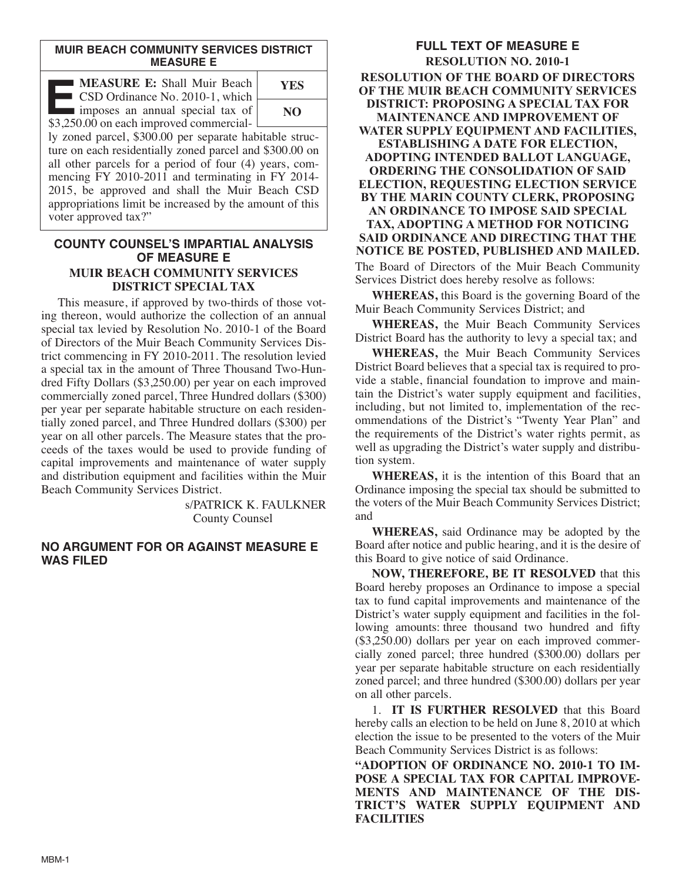## **MUIR BEACH COMMUNITY SERVICES DISTRICT MEASURE E**

| <b>MEASURE E: Shall Muir Beach</b><br>CSD Ordinance No. 2010-1, which                                              | <b>YES</b> |
|--------------------------------------------------------------------------------------------------------------------|------------|
| imposes an annual special tax of<br>\$3,250.00 on each improved commercial-                                        | NO.        |
| ly zoned parcel, \$300.00 per separate habitable struc-<br>ture on each residentially zoned parcel and \$300.00 on |            |
| all other parcels for a period of four (4) years, com-<br>mencing FY 2010-2011 and terminating in FY 2014-         |            |
| 2015 be approved and shall the Muir Beach CSD                                                                      |            |

15, be approved and shall the Muir Beach CSD appropriations limit be increased by the amount of this voter approved tax?"

## **COUNTY COUNSEL'S IMPARTIAL ANALYSIS OF MEASURE E MUIR BEACH COMMUNITY SERVICES DISTRICT SPECIAL TAX**

This measure, if approved by two-thirds of those voting thereon, would authorize the collection of an annual special tax levied by Resolution No. 2010-1 of the Board of Directors of the Muir Beach Community Services Dis trict commencing in FY 2010-2011. The resolution levied a special tax in the amount of Three Thousand Two-Hundred Fifty Dollars (\$3,250.00) per year on each improved commercially zoned parcel, Three Hundred dollars (\$300) per year per separate habitable structure on each residentially zoned parcel, and Three Hundred dollars (\$300) per year on all other parcels. The Measure states that the proceeds of the taxes would be used to provide funding of capital improvements and maintenance of water supply and distribution equipment and facilities within the Muir Beach Community Services District.

> s/PATRICK K. FAULKNER County Counsel

## **NO ARGUMENT FOR OR AGAINST MEASURE E WAS FILED**

**FULL TEXT OF MEASURE E RESOLUTION NO. 2010-1 RESOLUTION OF THE BOARD OF DIRECTORS OF THE MUIR BEACH COMMUNITY SERVICES DISTRICT: PROPOSING A SPECIAL TAX FOR MAINTENANCE AND IMPROVEMENT OF WATER SUPPLY EQUIPMENT AND FACILITIES, ESTABLISHING A DATE FOR ELECTION, ADOPTING INTENDED BALLOT LANGUAGE, ORDERING THE CONSOLIDATION OF SAID ELECTION, REQUESTING ELECTION SERVICE BY THE MARIN COUNTY CLERK, PROPOSING AN ORDINANCE TO IMPOSE SAID SPECIAL TAX, ADOPTING A METHOD FOR NOTICING SAID ORDINANCE AND DIRECTING THAT THE NOTICE BE POSTED, PUBLISHED AND MAILED.** The Board of Directors of the Muir Beach Community

**WHEREAS,** this Board is the governing Board of the Muir Beach Community Services District; and

Services District does hereby resolve as follows:

**WHEREAS,** the Muir Beach Community Services District Board has the authority to levy a special tax; and

**WHEREAS,** the Muir Beach Community Services District Board believes that a special tax is required to provide a stable, financial foundation to improve and maintain the District's water supply equipment and facilities, including, but not limited to, implementation of the recommendations of the District's "Twenty Year Plan" and the requirements of the District's water rights permit, as well as upgrading the District's water supply and distribution system.

**WHEREAS,** it is the intention of this Board that an Ordinance imposing the special tax should be submitted to the voters of the Muir Beach Community Services District; and

**WHEREAS,** said Ordinance may be adopted by the Board after notice and public hearing, and it is the desire of this Board to give notice of said Ordinance.

**NOW, THEREFORE, BE IT RESOLVED** that this Board hereby proposes an Ordinance to impose a special tax to fund capital improvements and maintenance of the District's water supply equipment and facilities in the following amounts: three thousand two hundred and fifty (\$3,250.00) dollars per year on each improved commercially zoned parcel; three hundred (\$300.00) dollars per year per separate habitable structure on each residentially zoned parcel; and three hundred (\$300.00) dollars per year on all other parcels.

1. **IT IS FURTHER RESOLVED** that this Board hereby calls an election to be held on June 8, 2010 at which election the issue to be presented to the voters of the Muir Beach Community Services District is as follows:

**"ADOPTION OF ORDINANCE NO. 2010-1 TO IM - POSE A SPECIAL TAX FOR CAPITAL IMPROVE-MENTS AND MAINTENANCE OF THE DIS-TRICT'S WATER SUPPLY EQUIPMENT AND FACILITIES**